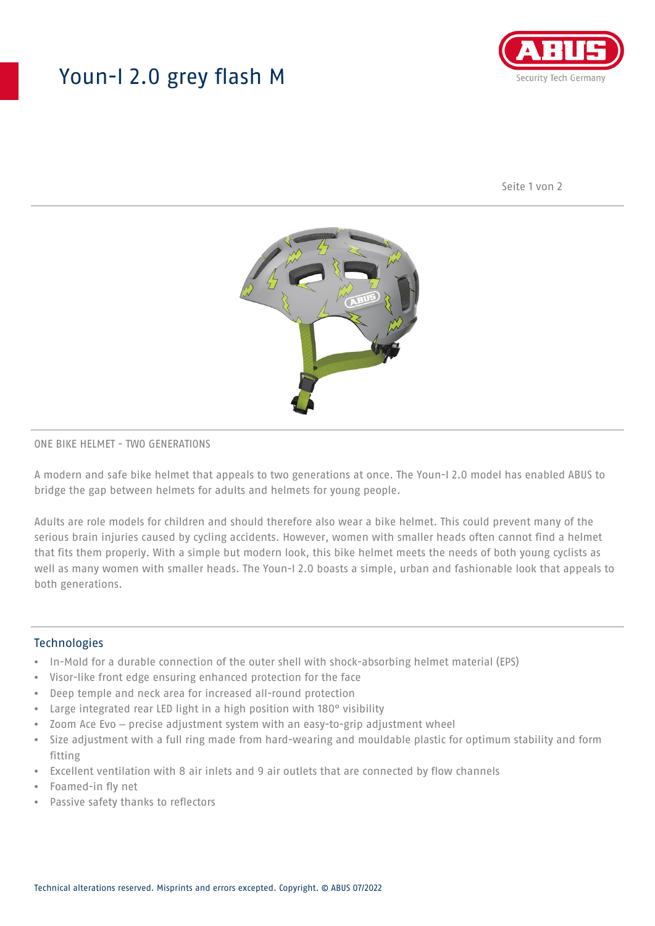## Youn-I 2.0 grey flash M



Seite 1 von 2



### ONE BIKE HELMET - TWO GENERATIONS

A modern and safe bike helmet that appeals to two generations at once. The Youn-I 2.0 model has enabled ABUS to bridge the gap between helmets for adults and helmets for young people.

Adults are role models for children and should therefore also wear a bike helmet. This could prevent many of the serious brain injuries caused by cycling accidents. However, women with smaller heads often cannot find a helmet that fits them properly. With a simple but modern look, this bike helmet meets the needs of both young cyclists as well as many women with smaller heads. The Youn-I 2.0 boasts a simple, urban and fashionable look that appeals to both generations.

#### **Technologies**

- In-Mold for a durable connection of the outer shell with shock-absorbing helmet material (EPS)
- Visor-like front edge ensuring enhanced protection for the face
- Deep temple and neck area for increased all-round protection
- Large integrated rear LED light in a high position with 180° visibility
- Zoom Ace Evo precise adjustment system with an easy-to-grip adjustment wheel
- Size adjustment with a full ring made from hard-wearing and mouldable plastic for optimum stability and form fitting
- Excellent ventilation with 8 air inlets and 9 air outlets that are connected by flow channels
- Foamed-in fly net
- Passive safety thanks to reflectors